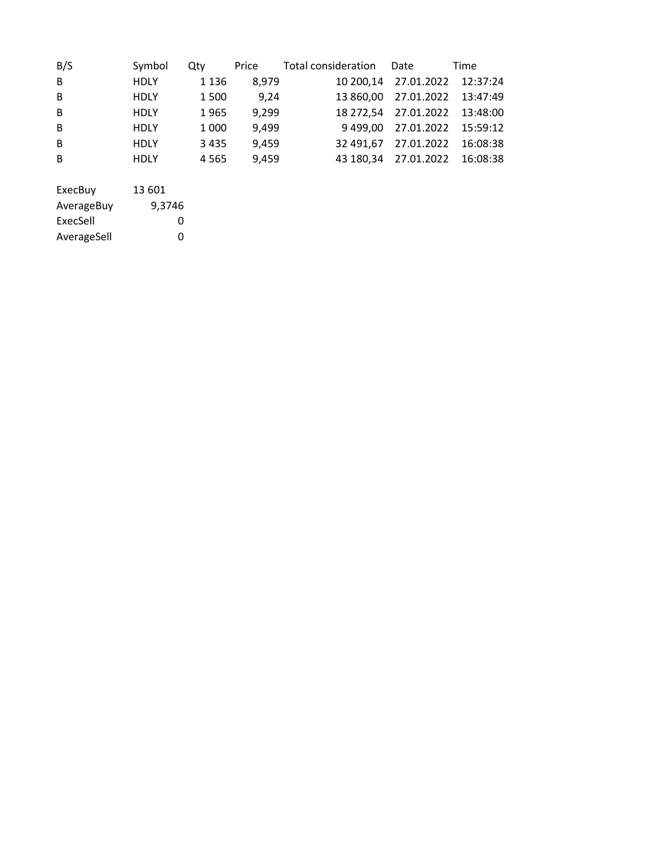| B/S     | Symbol      | Qty     | Price | Total consideration  Date |                               | Time     |
|---------|-------------|---------|-------|---------------------------|-------------------------------|----------|
| B       | <b>HDLY</b> | 1 1 3 6 | 8,979 |                           | 10 200,14 27.01.2022 12:37:24 |          |
| B       | <b>HDLY</b> | 1500    | 9,24  |                           | 13 860,00 27.01.2022 13:47:49 |          |
| B       | <b>HDLY</b> | 1965    | 9,299 |                           | 18 272,54 27.01.2022 13:48:00 |          |
| B       | <b>HDLY</b> | 1 0 0 0 | 9,499 |                           | 9 499,00 27.01.2022 15:59:12  |          |
| B       | <b>HDLY</b> | 3 4 3 5 | 9,459 |                           | 32 491,67 27.01.2022          | 16:08:38 |
| B       | <b>HDLY</b> | 4565    | 9,459 |                           | 43 180,34 27.01.2022          | 16:08:38 |
|         |             |         |       |                           |                               |          |
| ExecBuy | 13 601      |         |       |                           |                               |          |

| AverageBuy  | 9,3746 |
|-------------|--------|
| ExecSell    | O      |
| AverageSell | O      |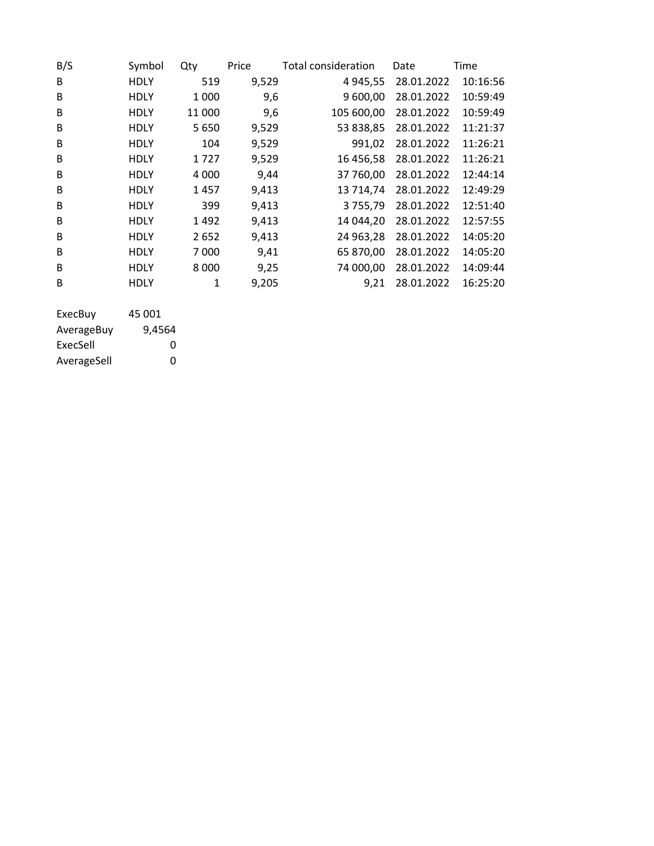| B/S | Symbol      | Qty     | Price | Total consideration | Date       | Time     |
|-----|-------------|---------|-------|---------------------|------------|----------|
| B   | <b>HDLY</b> | 519     | 9,529 | 4 9 4 5 , 5 5       | 28.01.2022 | 10:16:56 |
| B   | <b>HDLY</b> | 1 0 0 0 | 9,6   | 9 600,00            | 28.01.2022 | 10:59:49 |
| B   | <b>HDLY</b> | 11 000  | 9,6   | 105 600,00          | 28.01.2022 | 10:59:49 |
| B   | <b>HDLY</b> | 5 6 5 0 | 9,529 | 53 838,85           | 28.01.2022 | 11:21:37 |
| B   | <b>HDLY</b> | 104     | 9,529 | 991,02              | 28.01.2022 | 11:26:21 |
| B   | <b>HDLY</b> | 1727    | 9,529 | 16 456,58           | 28.01.2022 | 11:26:21 |
| B   | <b>HDLY</b> | 4 0 0 0 | 9,44  | 37 760,00           | 28.01.2022 | 12:44:14 |
| B   | <b>HDLY</b> | 1457    | 9,413 | 13 714,74           | 28.01.2022 | 12:49:29 |
| B   | <b>HDLY</b> | 399     | 9,413 | 3755,79             | 28.01.2022 | 12:51:40 |
| B   | <b>HDLY</b> | 1492    | 9,413 | 14 044,20           | 28.01.2022 | 12:57:55 |
| B   | <b>HDLY</b> | 2652    | 9,413 | 24 963,28           | 28.01.2022 | 14:05:20 |
| B   | <b>HDLY</b> | 7 0 0 0 | 9,41  | 65 870,00           | 28.01.2022 | 14:05:20 |
| B   | <b>HDLY</b> | 8 0 0 0 | 9,25  | 74 000,00           | 28.01.2022 | 14:09:44 |
| B   | <b>HDLY</b> | 1       | 9,205 | 9,21                | 28.01.2022 | 16:25:20 |
|     |             |         |       |                     |            |          |

| ExecBuy     | 45 001 |
|-------------|--------|
| AverageBuy  | 9,4564 |
| ExecSell    | Ω      |
| AverageSell | O      |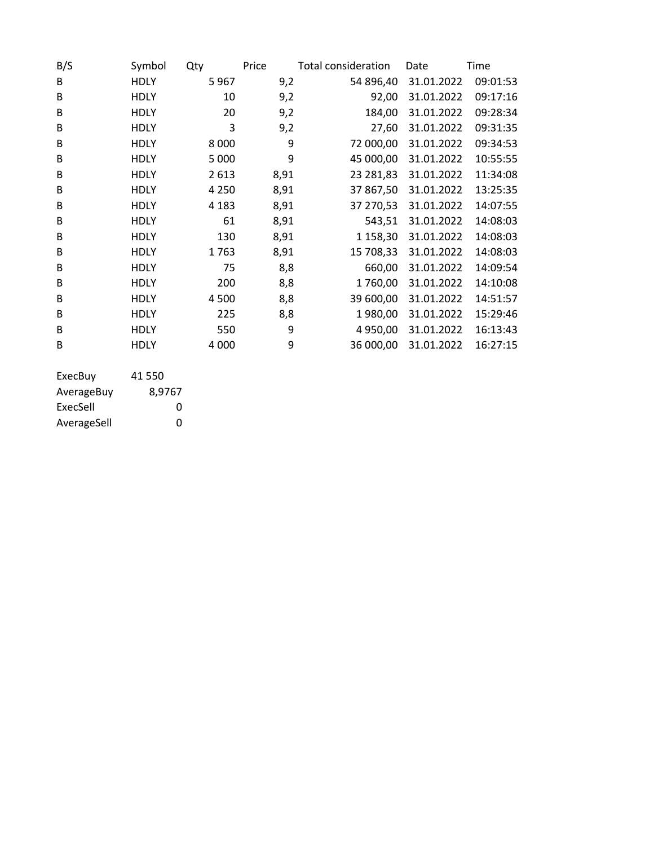| B/S     | Symbol      | Qty     | Price | Total consideration | Date       | Time     |
|---------|-------------|---------|-------|---------------------|------------|----------|
| B       | <b>HDLY</b> | 5967    | 9,2   | 54 896,40           | 31.01.2022 | 09:01:53 |
| B       | <b>HDLY</b> | 10      | 9,2   | 92,00               | 31.01.2022 | 09:17:16 |
| B       | <b>HDLY</b> | 20      | 9,2   | 184,00              | 31.01.2022 | 09:28:34 |
| B       | <b>HDLY</b> | 3       | 9,2   | 27,60               | 31.01.2022 | 09:31:35 |
| B       | <b>HDLY</b> | 8 0 0 0 | 9     | 72 000,00           | 31.01.2022 | 09:34:53 |
| B       | <b>HDLY</b> | 5 0 0 0 | 9     | 45 000,00           | 31.01.2022 | 10:55:55 |
| B       | <b>HDLY</b> | 2613    | 8,91  | 23 281,83           | 31.01.2022 | 11:34:08 |
| B       | <b>HDLY</b> | 4 2 5 0 | 8,91  | 37 867,50           | 31.01.2022 | 13:25:35 |
| B       | <b>HDLY</b> | 4 1 8 3 | 8,91  | 37 270,53           | 31.01.2022 | 14:07:55 |
| B       | <b>HDLY</b> | 61      | 8,91  | 543,51              | 31.01.2022 | 14:08:03 |
| B       | <b>HDLY</b> | 130     | 8,91  | 1 158,30            | 31.01.2022 | 14:08:03 |
| B       | <b>HDLY</b> | 1763    | 8,91  | 15 708,33           | 31.01.2022 | 14:08:03 |
| B       | <b>HDLY</b> | 75      | 8,8   | 660,00              | 31.01.2022 | 14:09:54 |
| B       | <b>HDLY</b> | 200     | 8,8   | 1760,00             | 31.01.2022 | 14:10:08 |
| B       | <b>HDLY</b> | 4500    | 8,8   | 39 600,00           | 31.01.2022 | 14:51:57 |
| B       | <b>HDLY</b> | 225     | 8,8   | 1980,00             | 31.01.2022 | 15:29:46 |
| B       | <b>HDLY</b> | 550     | 9     | 4 950,00            | 31.01.2022 | 16:13:43 |
| B       | <b>HDLY</b> | 4 0 0 0 | 9     | 36 000,00           | 31.01.2022 | 16:27:15 |
| EverPuv | 1150        |         |       |                     |            |          |

| ExecBuy     | 41 550 |
|-------------|--------|
| AverageBuy  | 8.9767 |
| ExecSell    | O      |
| AverageSell | O      |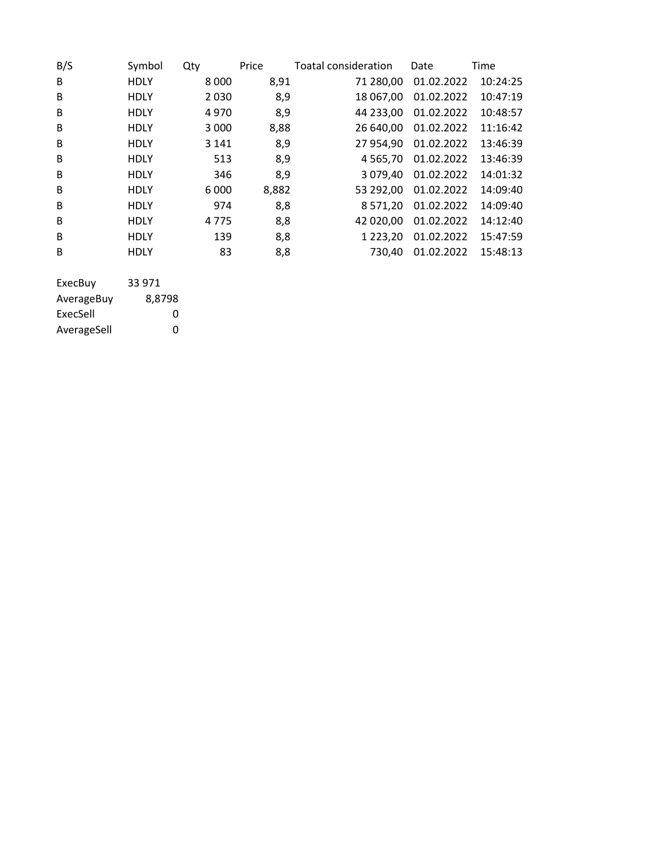| B/S        | Symbol      | Qty     | Price | Toatal consideration | Date       | Time     |
|------------|-------------|---------|-------|----------------------|------------|----------|
| B          | <b>HDLY</b> | 8 0 0 0 | 8,91  | 71 280,00            | 01.02.2022 | 10:24:25 |
| B          | <b>HDLY</b> | 2 0 3 0 | 8,9   | 18 067,00            | 01.02.2022 | 10:47:19 |
| B          | <b>HDLY</b> | 4970    | 8,9   | 44 233,00            | 01.02.2022 | 10:48:57 |
| B          | <b>HDLY</b> | 3 0 0 0 | 8,88  | 26 640,00            | 01.02.2022 | 11:16:42 |
| B          | <b>HDLY</b> | 3 1 4 1 | 8,9   | 27 954,90            | 01.02.2022 | 13:46:39 |
| B          | <b>HDLY</b> | 513     | 8,9   | 4 5 6 5 , 7 0        | 01.02.2022 | 13:46:39 |
| B          | <b>HDLY</b> | 346     | 8,9   | 3 079,40             | 01.02.2022 | 14:01:32 |
| B          | <b>HDLY</b> | 6 0 0 0 | 8,882 | 53 292,00            | 01.02.2022 | 14:09:40 |
| B          | <b>HDLY</b> | 974     | 8,8   | 8 5 7 1 , 2 0        | 01.02.2022 | 14:09:40 |
| B          | <b>HDLY</b> | 4775    | 8,8   | 42 020,00            | 01.02.2022 | 14:12:40 |
| B          | <b>HDLY</b> | 139     | 8,8   | 1 2 2 3 , 2 0        | 01.02.2022 | 15:47:59 |
| B          | <b>HDLY</b> | 83      | 8,8   | 730,40               | 01.02.2022 | 15:48:13 |
|            |             |         |       |                      |            |          |
| ExecBuy    | 33 971      |         |       |                      |            |          |
| AverageBuy | 8,8798      |         |       |                      |            |          |

ExecSell 0<br>AverageSell 0

AverageSell 0